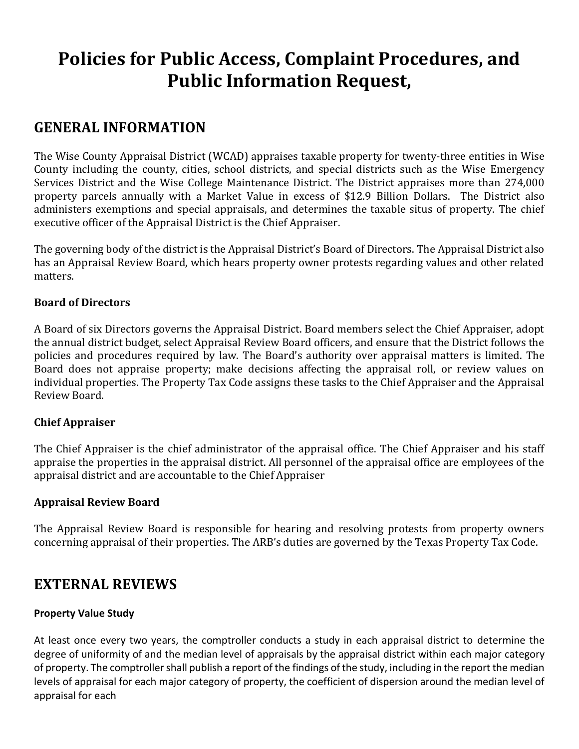# **Policies for Public Access, Complaint Procedures, and Public Information Request,**

### **GENERAL INFORMATION**

The Wise County Appraisal District (WCAD) appraises taxable property for twenty-three entities in Wise County including the county, cities, school districts, and special districts such as the Wise Emergency Services District and the Wise College Maintenance District. The District appraises more than 274,000 property parcels annually with a Market Value in excess of \$12.9 Billion Dollars. The District also administers exemptions and special appraisals, and determines the taxable situs of property. The chief executive officer of the Appraisal District is the Chief Appraiser.

The governing body of the district is the Appraisal District's Board of Directors. The Appraisal District also has an Appraisal Review Board, which hears property owner protests regarding values and other related matters.

#### **Board of Directors**

A Board of six Directors governs the Appraisal District. Board members select the Chief Appraiser, adopt the annual district budget, select Appraisal Review Board officers, and ensure that the District follows the policies and procedures required by law. The Board's authority over appraisal matters is limited. The Board does not appraise property; make decisions affecting the appraisal roll, or review values on individual properties. The Property Tax Code assigns these tasks to the Chief Appraiser and the Appraisal Review Board.

#### **Chief Appraiser**

The Chief Appraiser is the chief administrator of the appraisal office. The Chief Appraiser and his staff appraise the properties in the appraisal district. All personnel of the appraisal office are employees of the appraisal district and are accountable to the Chief Appraiser

#### **Appraisal Review Board**

The Appraisal Review Board is responsible for hearing and resolving protests from property owners concerning appraisal of their properties. The ARB's duties are governed by the Texas Property Tax Code.

### **EXTERNAL REVIEWS**

#### **Property Value Study**

At least once every two years, the comptroller conducts a study in each appraisal district to determine the degree of uniformity of and the median level of appraisals by the appraisal district within each major category of property. The comptroller shall publish a report of the findings of the study, including in the report the median levels of appraisal for each major category of property, the coefficient of dispersion around the median level of appraisal for each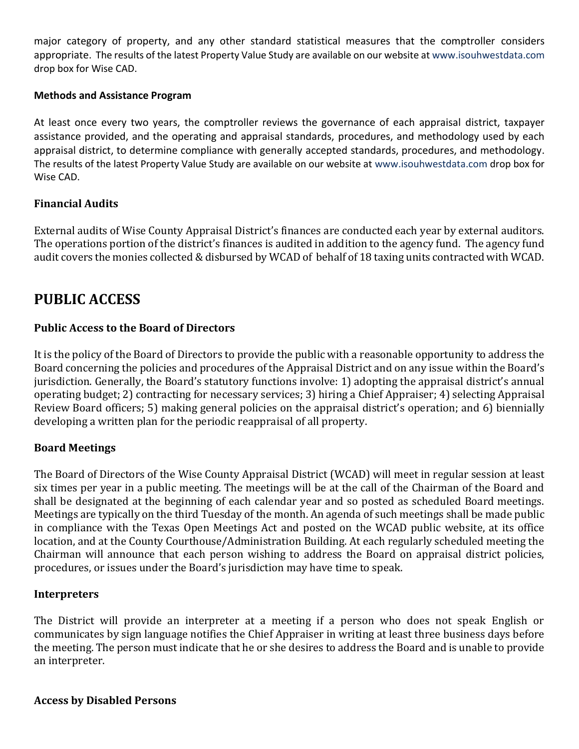major category of property, and any other standard statistical measures that the comptroller considers appropriate. The results of the latest Property Value Study are available on our website at [www.isouhwestdata.com](http://www.isouhwestdata.com/) drop box for Wise CAD.

#### **Methods and Assistance Program**

At least once every two years, the comptroller reviews the governance of each appraisal district, taxpayer assistance provided, and the operating and appraisal standards, procedures, and methodology used by each appraisal district, to determine compliance with generally accepted standards, procedures, and methodology. The results of the latest Property Value Study are available on our website at [www.isouhwestdata.com](http://www.isouhwestdata.com/) drop box for Wise CAD.

#### **Financial Audits**

External audits of Wise County Appraisal District's finances are conducted each year by external auditors. The operations portion of the district's finances is audited in addition to the agency fund. The agency fund audit covers the monies collected & disbursed by WCAD of behalf of 18 taxing units contracted with WCAD.

### **PUBLIC ACCESS**

#### **Public Access to the Board of Directors**

It is the policy of the Board of Directors to provide the public with a reasonable opportunity to address the Board concerning the policies and procedures of the Appraisal District and on any issue within the Board's jurisdiction. Generally, the Board's statutory functions involve: 1) adopting the appraisal district's annual operating budget; 2) contracting for necessary services; 3) hiring a Chief Appraiser; 4) selecting Appraisal Review Board officers; 5) making general policies on the appraisal district's operation; and 6) biennially developing a written plan for the periodic reappraisal of all property.

#### **Board Meetings**

The Board of Directors of the Wise County Appraisal District (WCAD) will meet in regular session at least six times per year in a public meeting. The meetings will be at the call of the Chairman of the Board and shall be designated at the beginning of each calendar year and so posted as scheduled Board meetings. Meetings are typically on the third Tuesday of the month. An agenda of such meetings shall be made public in compliance with the Texas Open Meetings Act and posted on the WCAD public website, at its office location, and at the County Courthouse/Administration Building. At each regularly scheduled meeting the Chairman will announce that each person wishing to address the Board on appraisal district policies, procedures, or issues under the Board's jurisdiction may have time to speak.

#### **Interpreters**

The District will provide an interpreter at a meeting if a person who does not speak English or communicates by sign language notifies the Chief Appraiser in writing at least three business days before the meeting. The person must indicate that he or she desires to address the Board and is unable to provide an interpreter.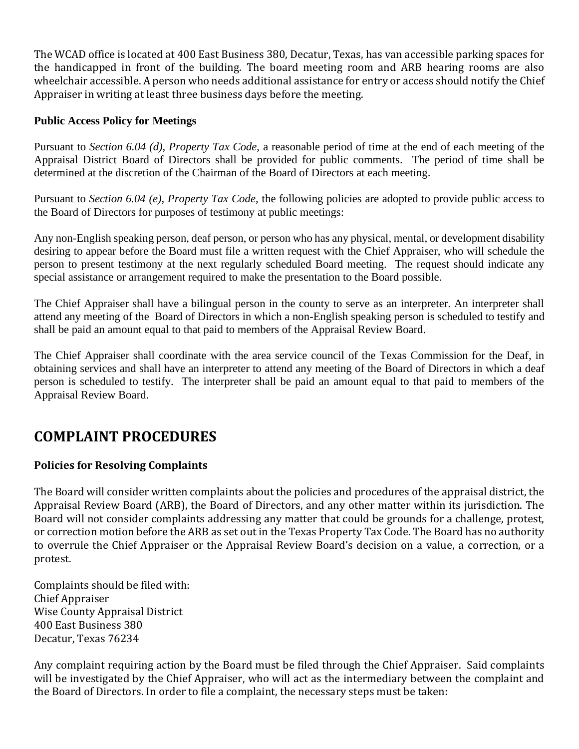The WCAD office is located at 400 East Business 380, Decatur, Texas, has van accessible parking spaces for the handicapped in front of the building. The board meeting room and ARB hearing rooms are also wheelchair accessible. A person who needs additional assistance for entry or access should notify the Chief Appraiser in writing at least three business days before the meeting.

#### **Public Access Policy for Meetings**

Pursuant to *Section 6.04 (d), Property Tax Code,* a reasonable period of time at the end of each meeting of the Appraisal District Board of Directors shall be provided for public comments. The period of time shall be determined at the discretion of the Chairman of the Board of Directors at each meeting.

Pursuant to *Section 6.04 (e), Property Tax Code,* the following policies are adopted to provide public access to the Board of Directors for purposes of testimony at public meetings:

Any non-English speaking person, deaf person, or person who has any physical, mental, or development disability desiring to appear before the Board must file a written request with the Chief Appraiser, who will schedule the person to present testimony at the next regularly scheduled Board meeting. The request should indicate any special assistance or arrangement required to make the presentation to the Board possible.

The Chief Appraiser shall have a bilingual person in the county to serve as an interpreter. An interpreter shall attend any meeting of the Board of Directors in which a non-English speaking person is scheduled to testify and shall be paid an amount equal to that paid to members of the Appraisal Review Board.

The Chief Appraiser shall coordinate with the area service council of the Texas Commission for the Deaf, in obtaining services and shall have an interpreter to attend any meeting of the Board of Directors in which a deaf person is scheduled to testify. The interpreter shall be paid an amount equal to that paid to members of the Appraisal Review Board.

### **COMPLAINT PROCEDURES**

#### **Policies for Resolving Complaints**

The Board will consider written complaints about the policies and procedures of the appraisal district, the Appraisal Review Board (ARB), the Board of Directors, and any other matter within its jurisdiction. The Board will not consider complaints addressing any matter that could be grounds for a challenge, protest, or correction motion before the ARB as set out in the Texas Property Tax Code. The Board has no authority to overrule the Chief Appraiser or the Appraisal Review Board's decision on a value, a correction, or a protest.

Complaints should be filed with: Chief Appraiser Wise County Appraisal District 400 East Business 380 Decatur, Texas 76234

Any complaint requiring action by the Board must be filed through the Chief Appraiser. Said complaints will be investigated by the Chief Appraiser, who will act as the intermediary between the complaint and the Board of Directors. In order to file a complaint, the necessary steps must be taken: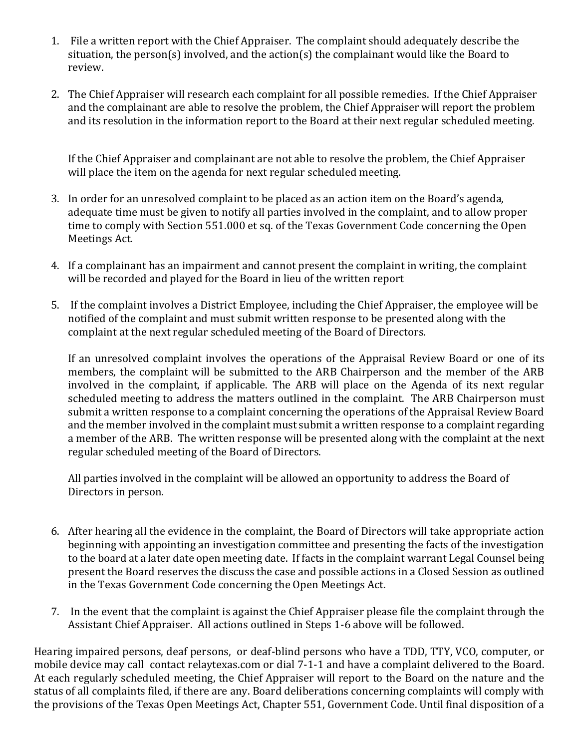- 1. File a written report with the Chief Appraiser. The complaint should adequately describe the situation, the person(s) involved, and the action(s) the complainant would like the Board to review.
- 2. The Chief Appraiser will research each complaint for all possible remedies. If the Chief Appraiser and the complainant are able to resolve the problem, the Chief Appraiser will report the problem and its resolution in the information report to the Board at their next regular scheduled meeting.

If the Chief Appraiser and complainant are not able to resolve the problem, the Chief Appraiser will place the item on the agenda for next regular scheduled meeting.

- 3. In order for an unresolved complaint to be placed as an action item on the Board's agenda, adequate time must be given to notify all parties involved in the complaint, and to allow proper time to comply with Section 551.000 et sq. of the Texas Government Code concerning the Open Meetings Act.
- 4. If a complainant has an impairment and cannot present the complaint in writing, the complaint will be recorded and played for the Board in lieu of the written report
- 5. If the complaint involves a District Employee, including the Chief Appraiser, the employee will be notified of the complaint and must submit written response to be presented along with the complaint at the next regular scheduled meeting of the Board of Directors.

If an unresolved complaint involves the operations of the Appraisal Review Board or one of its members, the complaint will be submitted to the ARB Chairperson and the member of the ARB involved in the complaint, if applicable. The ARB will place on the Agenda of its next regular scheduled meeting to address the matters outlined in the complaint. The ARB Chairperson must submit a written response to a complaint concerning the operations of the Appraisal Review Board and the member involved in the complaint must submit a written response to a complaint regarding a member of the ARB. The written response will be presented along with the complaint at the next regular scheduled meeting of the Board of Directors.

All parties involved in the complaint will be allowed an opportunity to address the Board of Directors in person.

- 6. After hearing all the evidence in the complaint, the Board of Directors will take appropriate action beginning with appointing an investigation committee and presenting the facts of the investigation to the board at a later date open meeting date. If facts in the complaint warrant Legal Counsel being present the Board reserves the discuss the case and possible actions in a Closed Session as outlined in the Texas Government Code concerning the Open Meetings Act.
- 7. In the event that the complaint is against the Chief Appraiser please file the complaint through the Assistant Chief Appraiser. All actions outlined in Steps 1-6 above will be followed.

Hearing impaired persons, deaf persons, or deaf-blind persons who have a TDD, TTY, VCO, computer, or mobile device may call contact relaytexas.com or dial 7-1-1 and have a complaint delivered to the Board. At each regularly scheduled meeting, the Chief Appraiser will report to the Board on the nature and the status of all complaints filed, if there are any. Board deliberations concerning complaints will comply with the provisions of the Texas Open Meetings Act, Chapter 551, Government Code. Until final disposition of a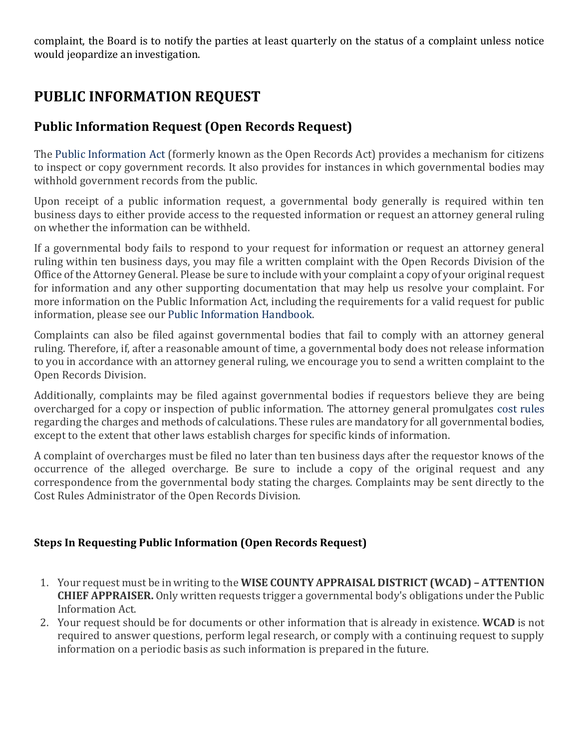complaint, the Board is to notify the parties at least quarterly on the status of a complaint unless notice would jeopardize an investigation.

## **PUBLIC INFORMATION REQUEST**

### **Public Information Request (Open Records Request)**

The [Public Information Act](http://www.statutes.legis.state.tx.us/SOTWDocs/GV/htm/GV.552.htm) (formerly known as the Open Records Act) provides a mechanism for citizens to inspect or copy government records. It also provides for instances in which governmental bodies may withhold government records from the public.

Upon receipt of a public information request, a governmental body generally is required within ten business days to either provide access to the requested information or request an attorney general ruling on whether the information can be withheld.

If a governmental body fails to respond to your request for information or request an attorney general ruling within ten business days, you may file a written complaint with the Open Records Division of the Office of the Attorney General. Please be sure to include with your complaint a copy of your original request for information and any other supporting documentation that may help us resolve your complaint. For more information on the Public Information Act, including the requirements for a valid request for public information, please see our [Public Information Handbook.](https://www.texasattorneygeneral.gov/files/og/publicinfo_hb.pdf)

Complaints can also be filed against governmental bodies that fail to comply with an attorney general ruling. Therefore, if, after a reasonable amount of time, a governmental body does not release information to you in accordance with an attorney general ruling, we encourage you to send a written complaint to the Open Records Division.

Additionally, complaints may be filed against governmental bodies if requestors believe they are being overcharged for a copy or inspection of public information. The attorney general promulgates [cost rules](http://info.sos.state.tx.us/pls/pub/readtac$ext.ViewTAC?tac_view=4&ti=1&pt=3&ch=70&rl=Y) regarding the charges and methods of calculations. These rules are mandatory for all governmental bodies, except to the extent that other laws establish charges for specific kinds of information.

A complaint of overcharges must be filed no later than ten business days after the requestor knows of the occurrence of the alleged overcharge. Be sure to include a copy of the original request and any correspondence from the governmental body stating the charges. Complaints may be sent directly to the Cost Rules Administrator of the Open Records Division.

#### **Steps In Requesting Public Information (Open Records Request)**

- 1. Your request must be in writing to the **WISE COUNTY APPRAISAL DISTRICT (WCAD) – ATTENTION CHIEF APPRAISER.** Only written requests trigger a governmental body's obligations under the Public Information Act.
- 2. Your request should be for documents or other information that is already in existence. **WCAD** is not required to answer questions, perform legal research, or comply with a continuing request to supply information on a periodic basis as such information is prepared in the future.